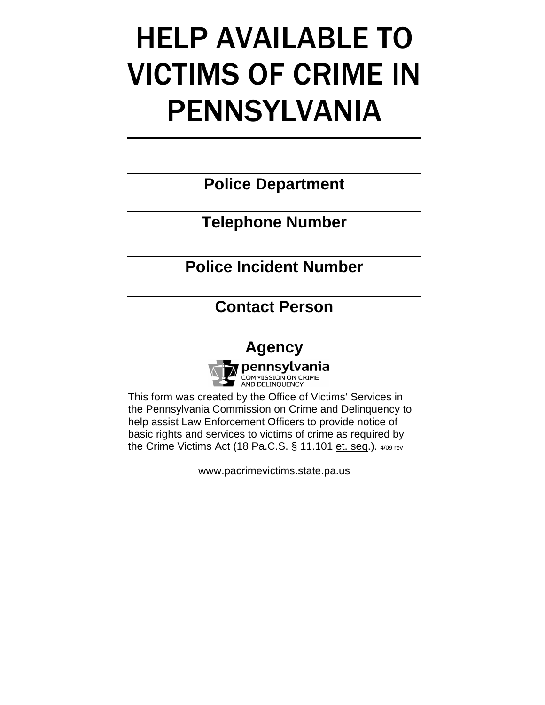# HELP AVAILABLE TO VICTIMS OF CRIME IN PENNSYLVANIA

**Police Department** 

**Telephone Number** 

**Police Incident Number** 

**Contact Person** 

## **Agency**



This form was created by the Office of Victims' Services in the Pennsylvania Commission on Crime and Delinquency to help assist Law Enforcement Officers to provide notice of basic rights and services to victims of crime as required by the Crime Victims Act (18 Pa.C.S. § 11.101 et. seq.). 4/09 rev

www.pacrimevictims.state.pa.us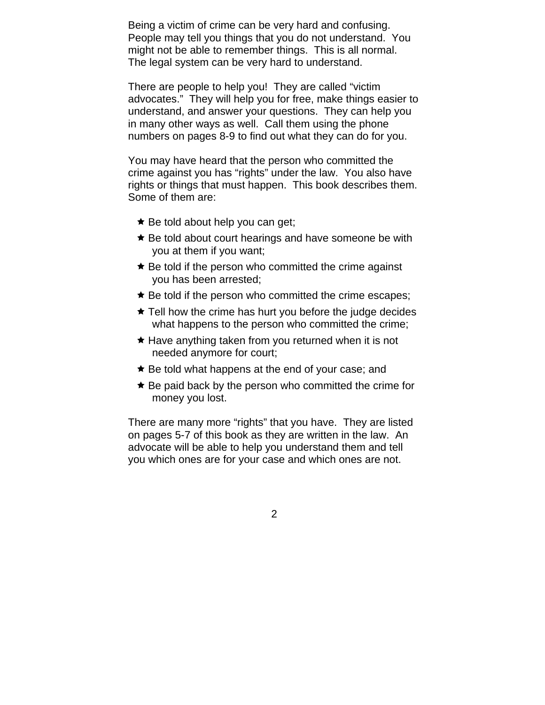Being a victim of crime can be very hard and confusing. People may tell you things that you do not understand. You might not be able to remember things. This is all normal. The legal system can be very hard to understand.

There are people to help you! They are called "victim advocates." They will help you for free, make things easier to understand, and answer your questions. They can help you in many other ways as well. Call them using the phone numbers on pages 8-9 to find out what they can do for you.

You may have heard that the person who committed the crime against you has "rights" under the law. You also have rights or things that must happen. This book describes them. Some of them are:

- $\star$  Be told about help you can get;
- $\star$  Be told about court hearings and have someone be with you at them if you want;
- $\star$  Be told if the person who committed the crime against you has been arrested;
- $\star$  Be told if the person who committed the crime escapes;
- $\star$  Tell how the crime has hurt you before the judge decides what happens to the person who committed the crime;
- $\star$  Have anything taken from you returned when it is not needed anymore for court;
- $\star$  Be told what happens at the end of your case; and
- $\star$  Be paid back by the person who committed the crime for money you lost.

There are many more "rights" that you have. They are listed on pages 5-7 of this book as they are written in the law. An advocate will be able to help you understand them and tell you which ones are for your case and which ones are not.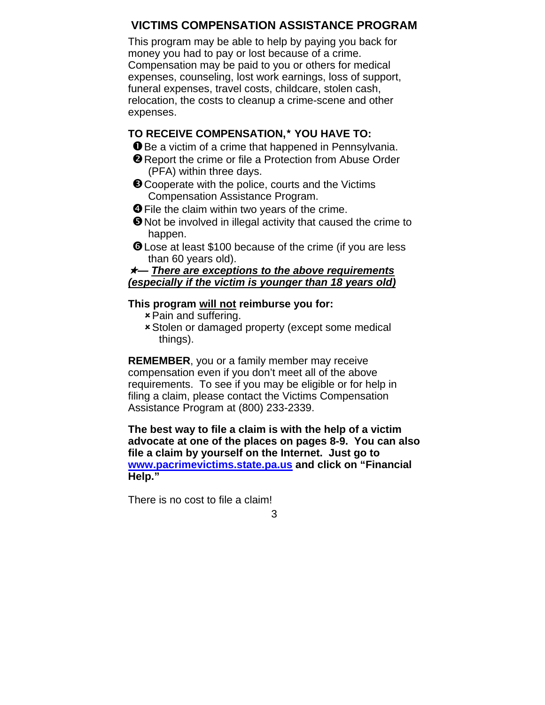#### **VICTIMS COMPENSATION ASSISTANCE PROGRAM**

This program may be able to help by paying you back for money you had to pay or lost because of a crime. Compensation may be paid to you or others for medical expenses, counseling, lost work earnings, loss of support, funeral expenses, travel costs, childcare, stolen cash, relocation, the costs to cleanup a crime-scene and other expenses.

#### **TO RECEIVE COMPENSATION, YOU HAVE TO:**

- **O** Be a victim of a crime that happened in Pennsylvania.
- **O** Report the crime or file a Protection from Abuse Order (PFA) within three days.
- **O** Cooperate with the police, courts and the Victims Compensation Assistance Program.
- **O** File the claim within two years of the crime.
- $\Theta$  Not be involved in illegal activity that caused the crime to happen.
- **O** Lose at least \$100 because of the crime (if you are less than 60 years old).

#### *— There are exceptions to the above requirements (especially if the victim is younger than 18 years old)*

#### **This program will not reimburse you for:**

- $\star$  Pain and suffering.
- **\* Stolen or damaged property (except some medical** things).

**REMEMBER**, you or a family member may receive compensation even if you don't meet all of the above requirements. To see if you may be eligible or for help in filing a claim, please contact the Victims Compensation Assistance Program at (800) 233-2339.

**The best way to file a claim is with the help of a victim advocate at one of the places on pages 8-9. You can also file a claim by yourself on the Internet. Just go to [www.pacrimevictims.state.pa.us](http://www.pacrimevictims.state.pa.us/) and click on "Financial Help."** 

There is no cost to file a claim!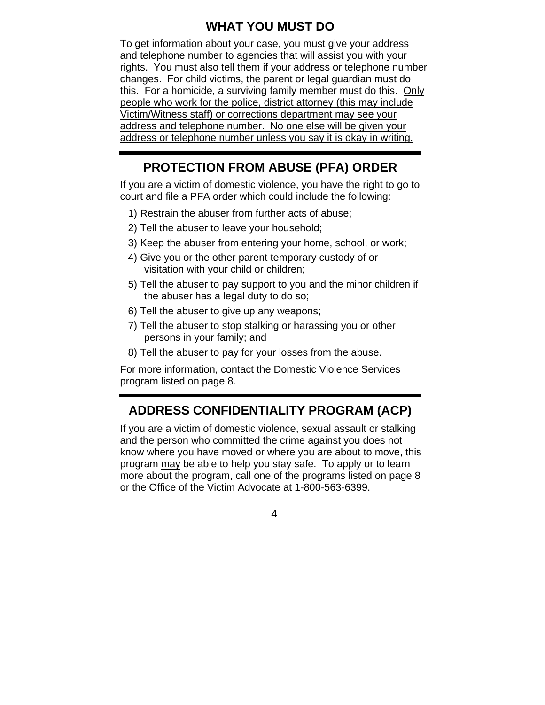### **WHAT YOU MUST DO**

To get information about your case, you must give your address and telephone number to agencies that will assist you with your rights. You must also tell them if your address or telephone number changes. For child victims, the parent or legal guardian must do this. For a homicide, a surviving family member must do this. Only people who work for the police, district attorney (this may include Victim/Witness staff) or corrections department may see your address and telephone number. No one else will be given your address or telephone number unless you say it is okay in writing.

## **PROTECTION FROM ABUSE (PFA) ORDER**

If you are a victim of domestic violence, you have the right to go to court and file a PFA order which could include the following:

- 1) Restrain the abuser from further acts of abuse;
- 2) Tell the abuser to leave your household;
- 3) Keep the abuser from entering your home, school, or work;
- 4) Give you or the other parent temporary custody of or visitation with your child or children;
- 5) Tell the abuser to pay support to you and the minor children if the abuser has a legal duty to do so;
- 6) Tell the abuser to give up any weapons;
- 7) Tell the abuser to stop stalking or harassing you or other persons in your family; and
- 8) Tell the abuser to pay for your losses from the abuse.

For more information, contact the Domestic Violence Services program listed on page 8.

## **ADDRESS CONFIDENTIALITY PROGRAM (ACP)**

If you are a victim of domestic violence, sexual assault or stalking and the person who committed the crime against you does not know where you have moved or where you are about to move, this program may be able to help you stay safe. To apply or to learn more about the program, call one of the programs listed on page 8 or the Office of the Victim Advocate at 1-800-563-6399.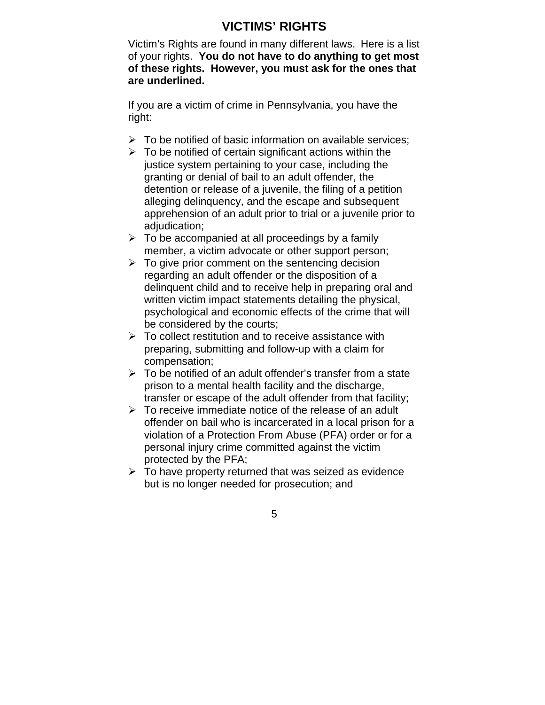## **VICTIMS' RIGHTS**

Victim's Rights are found in many different laws. Here is a list of your rights. **You do not have to do anything to get most of these rights. However, you must ask for the ones that are underlined.** 

If you are a victim of crime in Pennsylvania, you have the right:

- $\triangleright$  To be notified of basic information on available services;
- $\triangleright$  To be notified of certain significant actions within the justice system pertaining to your case, including the granting or denial of bail to an adult offender, the detention or release of a juvenile, the filing of a petition alleging delinquency, and the escape and subsequent apprehension of an adult prior to trial or a juvenile prior to adiudication:
- $\triangleright$  To be accompanied at all proceedings by a family member, a victim advocate or other support person;
- $\triangleright$  To give prior comment on the sentencing decision regarding an adult offender or the disposition of a delinquent child and to receive help in preparing oral and written victim impact statements detailing the physical, psychological and economic effects of the crime that will be considered by the courts;
- $\triangleright$  To collect restitution and to receive assistance with preparing, submitting and follow-up with a claim for compensation;
- $\triangleright$  To be notified of an adult offender's transfer from a state prison to a mental health facility and the discharge, transfer or escape of the adult offender from that facility;
- $\triangleright$  To receive immediate notice of the release of an adult offender on bail who is incarcerated in a local prison for a violation of a Protection From Abuse (PFA) order or for a personal injury crime committed against the victim protected by the PFA;
- $\triangleright$  To have property returned that was seized as evidence but is no longer needed for prosecution; and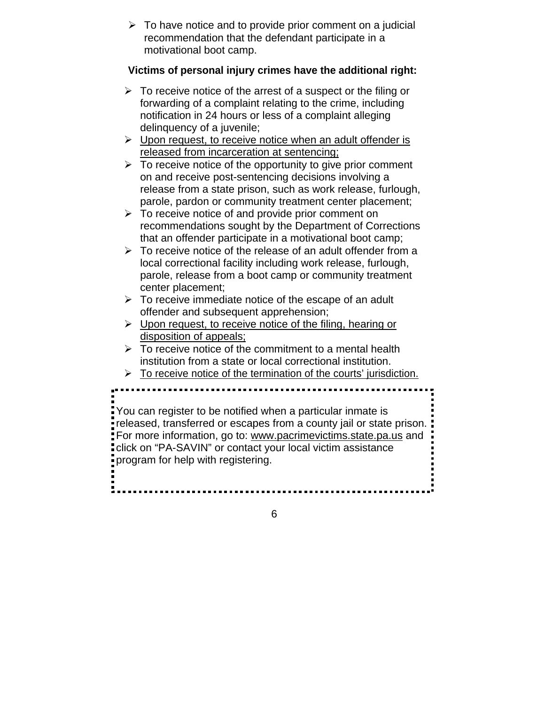$\triangleright$  To have notice and to provide prior comment on a judicial recommendation that the defendant participate in a motivational boot camp.

#### **Victims of personal injury crimes have the additional right:**

- $\triangleright$  To receive notice of the arrest of a suspect or the filing or forwarding of a complaint relating to the crime, including notification in 24 hours or less of a complaint alleging delinquency of a juvenile;
- $\triangleright$  Upon request, to receive notice when an adult offender is released from incarceration at sentencing;
- $\triangleright$  To receive notice of the opportunity to give prior comment on and receive post-sentencing decisions involving a release from a state prison, such as work release, furlough, parole, pardon or community treatment center placement;
- $\triangleright$  To receive notice of and provide prior comment on recommendations sought by the Department of Corrections that an offender participate in a motivational boot camp;
- $\triangleright$  To receive notice of the release of an adult offender from a local correctional facility including work release, furlough, parole, release from a boot camp or community treatment center placement;
- $\triangleright$  To receive immediate notice of the escape of an adult offender and subsequent apprehension;
- $\triangleright$  Upon request, to receive notice of the filing, hearing or disposition of appeals;
- $\triangleright$  To receive notice of the commitment to a mental health institution from a state or local correctional institution.

 $\triangleright$  To receive notice of the termination of the courts' jurisdiction.

You can register to be notified when a particular inmate is released, transferred or escapes from a county jail or state prison. For more information, go to: [www.pacrimevictims.state.pa.us](http://www.pacrimevictims.state.pa.us/) and click on "PA-SAVIN" or contact your local victim assistance program for help with registering.

6

 $\overline{a}$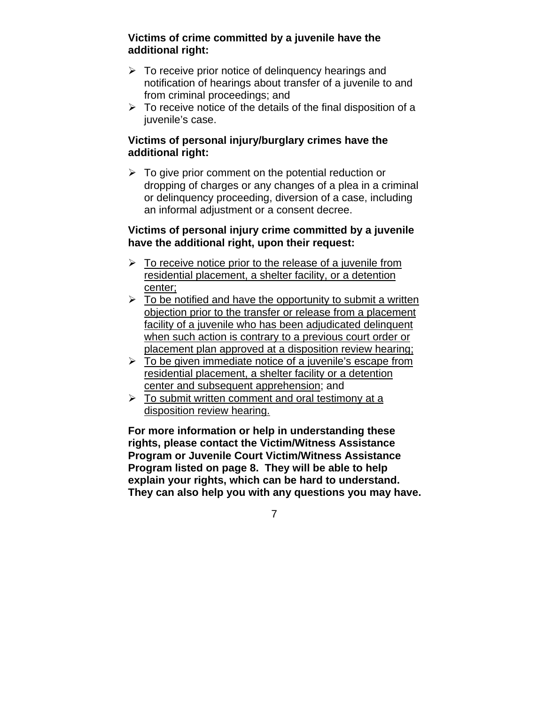#### **Victims of crime committed by a juvenile have the additional right:**

- $\triangleright$  To receive prior notice of delinguency hearings and notification of hearings about transfer of a juvenile to and from criminal proceedings; and
- $\triangleright$  To receive notice of the details of the final disposition of a juvenile's case.

#### **Victims of personal injury/burglary crimes have the additional right:**

 $\triangleright$  To give prior comment on the potential reduction or dropping of charges or any changes of a plea in a criminal or delinquency proceeding, diversion of a case, including an informal adjustment or a consent decree.

#### **Victims of personal injury crime committed by a juvenile have the additional right, upon their request:**

- $\triangleright$  To receive notice prior to the release of a juvenile from residential placement, a shelter facility, or a detention center;
- $\triangleright$  To be notified and have the opportunity to submit a written objection prior to the transfer or release from a placement facility of a juvenile who has been adjudicated delinquent when such action is contrary to a previous court order or placement plan approved at a disposition review hearing;
- $\triangleright$  To be given immediate notice of a juvenile's escape from residential placement, a shelter facility or a detention center and subsequent apprehension; and
- $\triangleright$  To submit written comment and oral testimony at a disposition review hearing.

**For more information or help in understanding these rights, please contact the Victim/Witness Assistance Program or Juvenile Court Victim/Witness Assistance Program listed on page 8. They will be able to help explain your rights, which can be hard to understand. They can also help you with any questions you may have.**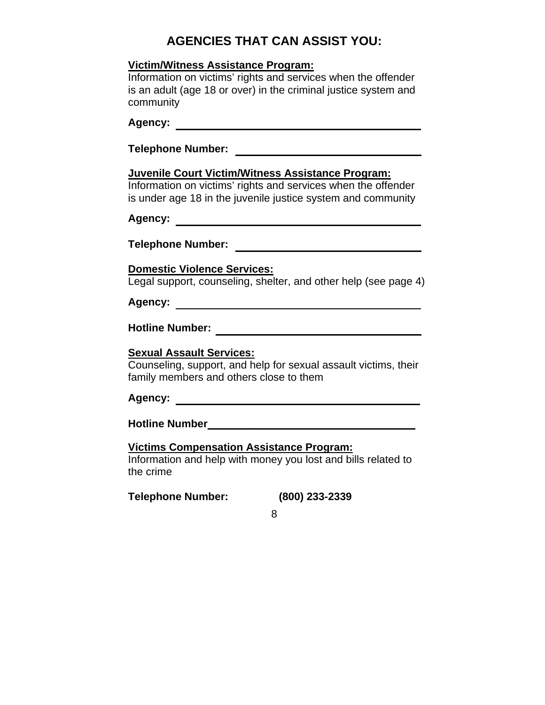## **AGENCIES THAT CAN ASSIST YOU:**

#### **Victim/Witness Assistance Program:**

Information on victims' rights and services when the offender is an adult (age 18 or over) in the criminal justice system and community

## **Agency:**

#### **Juvenile Court Victim/Witness Assistance Program:**

Information on victims' rights and services when the offender is under age 18 in the juvenile justice system and community

**Agency:** 

**Telephone Number:** 

#### **Domestic Violence Services:**

Legal support, counseling, shelter, and other help (see page 4)

## **Agency:**

**Hotline Number:** 

#### **Sexual Assault Services:**

Counseling, support, and help for sexual assault victims, their family members and others close to them

#### **Agency:**

**Hotline Number\_\_\_\_\_\_\_\_\_\_\_\_\_\_\_\_\_\_\_\_\_\_\_\_\_\_\_\_\_\_\_\_\_\_\_**

#### **Victims Compensation Assistance Program:**

Information and help with money you lost and bills related to the crime

**Telephone Number: (800) 233-2339**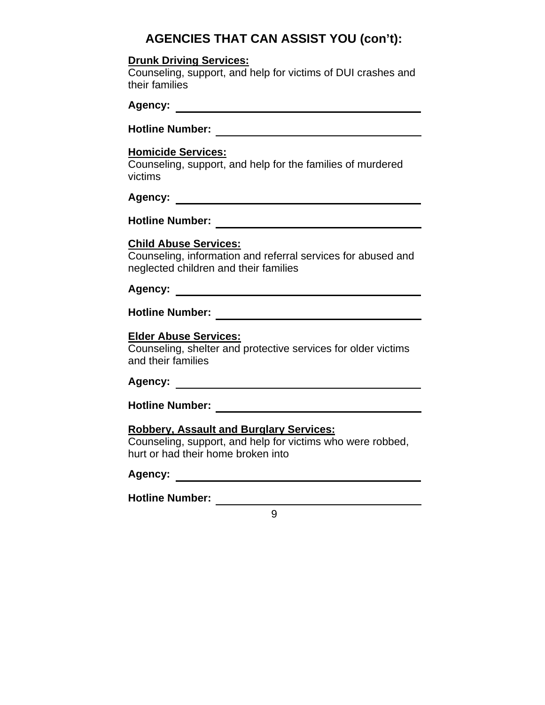## **AGENCIES THAT CAN ASSIST YOU (con't):**

#### **Drunk Driving Services:**

Counseling, support, and help for victims of DUI crashes and their families

**Hotline Number:** 

#### **Homicide Services:**

Counseling, support, and help for the families of murdered victims

## **Agency:**

**Hotline Number:** 

#### **Child Abuse Services:**

Counseling, information and referral services for abused and neglected children and their families

**Agency:** 

**Hotline Number:** 

#### **Elder Abuse Services:**

Counseling, shelter and protective services for older victims and their families

### **Agency:**

**Hotline Number:** 

#### **Robbery, Assault and Burglary Services:**

Counseling, support, and help for victims who were robbed, hurt or had their home broken into

#### **Agency:**

**Hotline Number:**